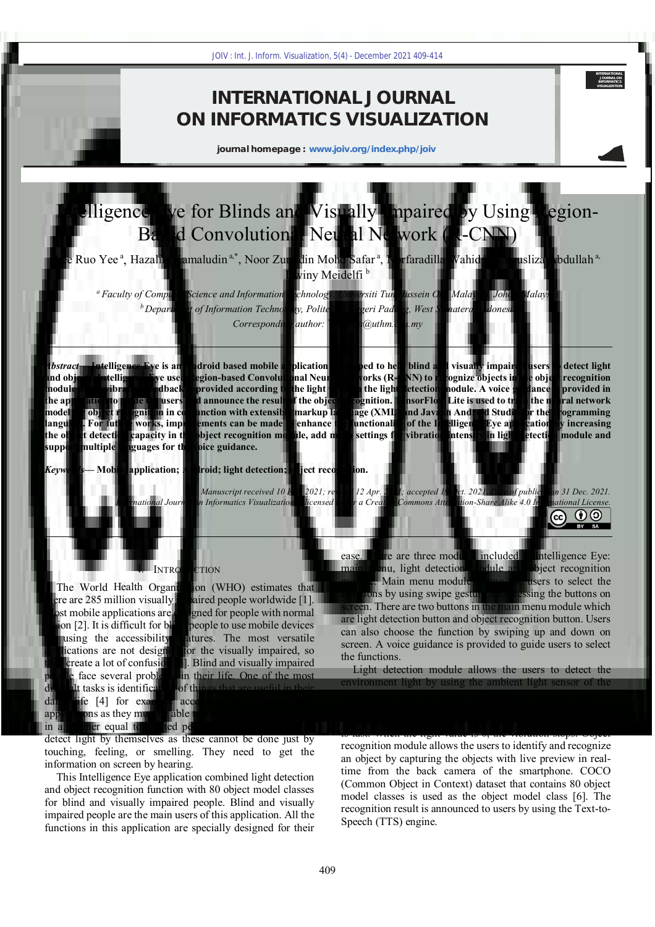## **INTERNATIONAL JOURNAL ON INFORMATICS VISUALIZATION**

**journal homepage : www.joiv.org/index.php/joiv**

# Intelligence Eye for Blinds and Visually Impaired by Using Region-Based Convolutional Neural Network (R-CNN)

Lee Ruo Yee<sup>a</sup>, Hazalila Kamaludin<sup>a,\*</sup>, Noor Zuraidin Mohd Safar<sup>a</sup>, Norfaradilla Wahid<sup>a</sup>, Noryusliza Abdullah<sup>a,</sup> Dwiny Meidelfi<sup>b</sup>

*<sup>a</sup>Faculty of Computer Science and Information Technology, Universiti Tun Hussein Onn Malaysia, Johor, Malaysia <sup>b</sup>Department of Information Technology, Politeknik Negeri Padang, West Sumatera, Indonesia Corresponding author: \*hazalila@uthm.edu.my* 

*Abstract*— **Intelligence Eye is an Android based mobile application developed to help blind and visually impaired users to detect light and objects. Intelligence Eye used Region-based Convolutional Neural Networks (R-CNN) to recognize objects in the object recognition module and a vibration feedback is provided according to the light value in the light detection module. A voice guidance is provided in the application to guide the users and announce the result of the object recognition. TensorFlow Lite is used to train the neural network model for object recognition in conjunction with extensible markup language (XML) and Java in Android Studio for the programming language. For future works, improvements can be made to enhance the functionality of the Intelligence Eye application by increasing the object detection capacity in the object recognition module, add menu settings for vibration intensity in light detection module and support multiple languages for the voice guidance.** 109  $^{\circ}$  int. J. Inform. Visualization, 5(d) - December 2021 409-414<br>
INTERNATICS VISUALIZA<br>
journal homepage : www.joiv.org/index.php/joiv<br>
Blinds and Visually Impaire<br>
Public Sources in the summation of the summation

*Keywords***— Mobile application; Android; light detection; object recognition.** 

*Manuscript received 10 Feb. 2021; revised 12 Apr. 2021; accepted 19 Oct. 2021. Date of publication 31 Dec. 2021. International Journal on Informatics Visualization is licensed under a Creative Commons Attribution-Share Alike 4.0 International License.*



**INTERNATIONAL JOURNAL ON INFORMATICS VISUALIZATION**

#### I. INTRODUCTION

The World Health Organization (WHO) estimates that there are 285 million visually impaired people worldwide [1]. Most mobile applications are designed for people with normal vision [2]. It is difficult for blind people to use mobile devices by using the accessibility features. The most versatile applications are not designed for the visually impaired, so they create a lot of confusion [3]. Blind and visually impaired people face several problems in their life. One of the most difficult tasks is identification of things that are useful in their daily life [4] for example accessing and using e-book applications as they must be able to navigate and use e-books in a manner equal to sighted people [5]. They also cannot detect light by themselves as these cannot be done just by touching, feeling, or smelling. They need to get the information on screen by hearing.

This Intelligence Eye application combined light detection and object recognition function with 80 object model classes for blind and visually impaired people. Blind and visually impaired people are the main users of this application. All the functions in this application are specially designed for their

ease. There are three modules included in Intelligence Eye: main menu, light detection module and object recognition module. Main menu module allows the users to select the functions by using swipe gesture and pressing the buttons on screen. There are two buttons in the main menu module which are light detection button and object recognition button. Users can also choose the function by swiping up and down on screen. A voice guidance is provided to guide users to select the functions.

Light detection module allows the users to detect the environment light by using the ambient light sensor of the smartphone and the system vibrates in different patterns according to the light value. When the light value is low, the vibration is slow. When the light value is high, the vibration is fast. When the light value is 0, the vibration stops. Object recognition module allows the users to identify and recognize an object by capturing the objects with live preview in realtime from the back camera of the smartphone. COCO (Common Object in Context) dataset that contains 80 object model classes is used as the object model class [6]. The recognition result is announced to users by using the Text-to-Speech (TTS) engine.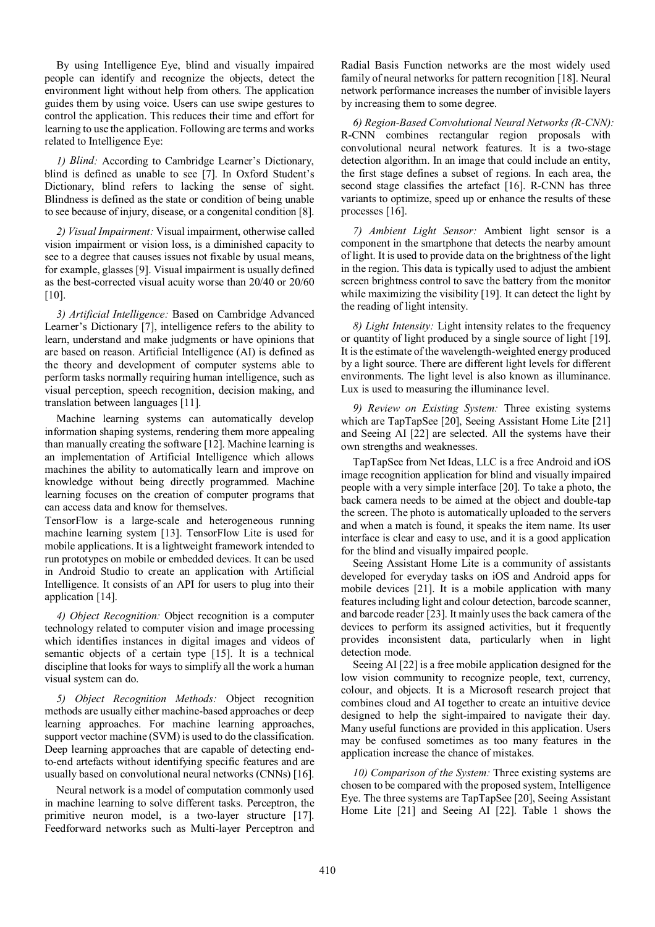By using Intelligence Eye, blind and visually impaired people can identify and recognize the objects, detect the environment light without help from others. The application guides them by using voice. Users can use swipe gestures to control the application. This reduces their time and effort for learning to use the application. Following are terms and works related to Intelligence Eye:

*1) Blind:* According to Cambridge Learner's Dictionary, blind is defined as unable to see [7]. In Oxford Student's Dictionary, blind refers to lacking the sense of sight. Blindness is defined as the state or condition of being unable to see because of injury, disease, or a congenital condition [8].

*2) Visual Impairment:* Visual impairment, otherwise called vision impairment or vision loss, is a diminished capacity to see to a degree that causes issues not fixable by usual means, for example, glasses [9]. Visual impairment is usually defined as the best-corrected visual acuity worse than 20/40 or 20/60  $[10]$ .

*3) Artificial Intelligence:* Based on Cambridge Advanced Learner's Dictionary [7], intelligence refers to the ability to learn, understand and make judgments or have opinions that are based on reason. Artificial Intelligence (AI) is defined as the theory and development of computer systems able to perform tasks normally requiring human intelligence, such as visual perception, speech recognition, decision making, and translation between languages [11].

Machine learning systems can automatically develop information shaping systems, rendering them more appealing than manually creating the software [12]. Machine learning is an implementation of Artificial Intelligence which allows machines the ability to automatically learn and improve on knowledge without being directly programmed. Machine learning focuses on the creation of computer programs that can access data and know for themselves.

TensorFlow is a large-scale and heterogeneous running machine learning system [13]. TensorFlow Lite is used for mobile applications. It is a lightweight framework intended to run prototypes on mobile or embedded devices. It can be used in Android Studio to create an application with Artificial Intelligence. It consists of an API for users to plug into their application [14].

*4) Object Recognition:* Object recognition is a computer technology related to computer vision and image processing which identifies instances in digital images and videos of semantic objects of a certain type [15]. It is a technical discipline that looks for ways to simplify all the work a human visual system can do.

*5) Object Recognition Methods:* Object recognition methods are usually either machine-based approaches or deep learning approaches. For machine learning approaches, support vector machine (SVM) is used to do the classification. Deep learning approaches that are capable of detecting endto-end artefacts without identifying specific features and are usually based on convolutional neural networks (CNNs) [16].

Neural network is a model of computation commonly used in machine learning to solve different tasks. Perceptron, the primitive neuron model, is a two-layer structure [17]. Feedforward networks such as Multi-layer Perceptron and Radial Basis Function networks are the most widely used family of neural networks for pattern recognition [18]. Neural network performance increases the number of invisible layers by increasing them to some degree.

*6) Region-Based Convolutional Neural Networks (R-CNN):*  R-CNN combines rectangular region proposals with convolutional neural network features. It is a two-stage detection algorithm. In an image that could include an entity, the first stage defines a subset of regions. In each area, the second stage classifies the artefact [16]. R-CNN has three variants to optimize, speed up or enhance the results of these processes [16].

*7) Ambient Light Sensor:* Ambient light sensor is a component in the smartphone that detects the nearby amount of light. It is used to provide data on the brightness of the light in the region. This data is typically used to adjust the ambient screen brightness control to save the battery from the monitor while maximizing the visibility [19]. It can detect the light by the reading of light intensity.

*8) Light Intensity:* Light intensity relates to the frequency or quantity of light produced by a single source of light [19]. It is the estimate of the wavelength-weighted energy produced by a light source. There are different light levels for different environments. The light level is also known as illuminance. Lux is used to measuring the illuminance level.

*9) Review on Existing System:* Three existing systems which are TapTapSee [20], Seeing Assistant Home Lite [21] and Seeing AI [22] are selected. All the systems have their own strengths and weaknesses.

TapTapSee from Net Ideas, LLC is a free Android and iOS image recognition application for blind and visually impaired people with a very simple interface [20]. To take a photo, the back camera needs to be aimed at the object and double-tap the screen. The photo is automatically uploaded to the servers and when a match is found, it speaks the item name. Its user interface is clear and easy to use, and it is a good application for the blind and visually impaired people.

Seeing Assistant Home Lite is a community of assistants developed for everyday tasks on iOS and Android apps for mobile devices [21]. It is a mobile application with many features including light and colour detection, barcode scanner, and barcode reader [23]. It mainly uses the back camera of the devices to perform its assigned activities, but it frequently provides inconsistent data, particularly when in light detection mode.

Seeing AI [22] is a free mobile application designed for the low vision community to recognize people, text, currency, colour, and objects. It is a Microsoft research project that combines cloud and AI together to create an intuitive device designed to help the sight-impaired to navigate their day. Many useful functions are provided in this application. Users may be confused sometimes as too many features in the application increase the chance of mistakes.

*10) Comparison of the System:* Three existing systems are chosen to be compared with the proposed system, Intelligence Eye. The three systems are TapTapSee [20], Seeing Assistant Home Lite [21] and Seeing AI [22]. Table 1 shows the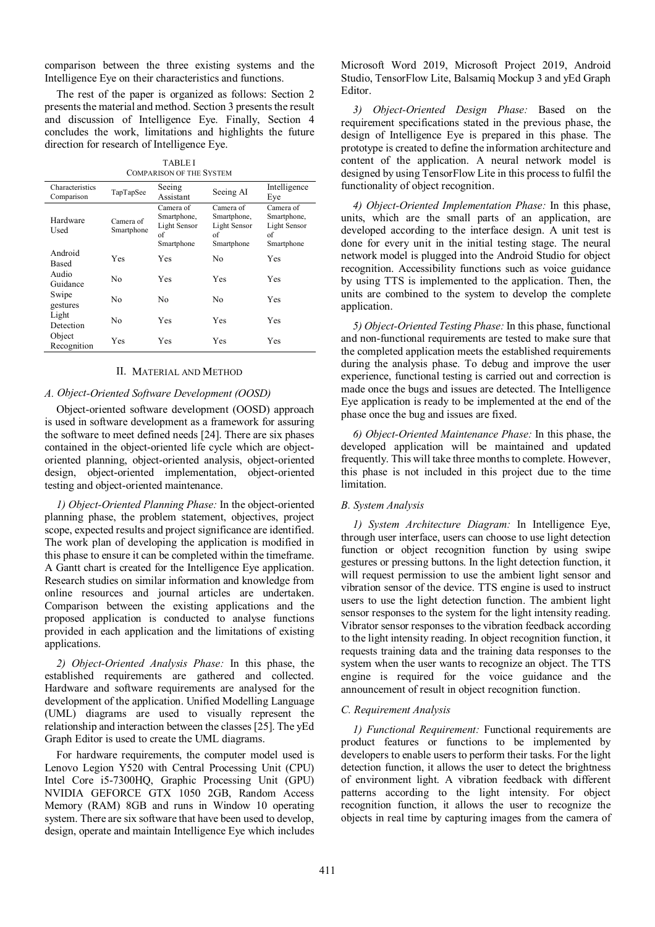comparison between the three existing systems and the Intelligence Eye on their characteristics and functions.

The rest of the paper is organized as follows: Section 2 presents the material and method. Section 3 presents the result and discussion of Intelligence Eye. Finally, Section 4 concludes the work, limitations and highlights the future direction for research of Intelligence Eye.

TABLE I COMPARISON OF THE SYSTEM

| Characteristics<br>Comparison | TapTapSee               | Seeing<br>Assistant                                          | Seeing AI                                                    | Intelligence<br>Eye                                          |
|-------------------------------|-------------------------|--------------------------------------------------------------|--------------------------------------------------------------|--------------------------------------------------------------|
| Hardware<br>Used              | Camera of<br>Smartphone | Camera of<br>Smartphone,<br>Light Sensor<br>of<br>Smartphone | Camera of<br>Smartphone,<br>Light Sensor<br>of<br>Smartphone | Camera of<br>Smartphone,<br>Light Sensor<br>of<br>Smartphone |
| Android<br><b>Based</b>       | Yes                     | Yes                                                          | No                                                           | Yes                                                          |
| Audio<br>Guidance             | No                      | Yes                                                          | Yes                                                          | Yes                                                          |
| Swipe<br>gestures             | No                      | No                                                           | No                                                           | Yes                                                          |
| Light<br>Detection            | No                      | Yes                                                          | Yes                                                          | Yes                                                          |
| Object<br>Recognition         | Yes                     | Yes                                                          | Yes                                                          | Yes                                                          |

## II. MATERIAL AND METHOD

## *A. Object-Oriented Software Development (OOSD)*

Object-oriented software development (OOSD) approach is used in software development as a framework for assuring the software to meet defined needs [24]. There are six phases contained in the object-oriented life cycle which are objectoriented planning, object-oriented analysis, object-oriented design, object-oriented implementation, object-oriented testing and object-oriented maintenance.

*1) Object-Oriented Planning Phase:* In the object-oriented planning phase, the problem statement, objectives, project scope, expected results and project significance are identified. The work plan of developing the application is modified in this phase to ensure it can be completed within the timeframe. A Gantt chart is created for the Intelligence Eye application. Research studies on similar information and knowledge from online resources and journal articles are undertaken. Comparison between the existing applications and the proposed application is conducted to analyse functions provided in each application and the limitations of existing applications.

*2) Object-Oriented Analysis Phase:* In this phase, the established requirements are gathered and collected. Hardware and software requirements are analysed for the development of the application. Unified Modelling Language (UML) diagrams are used to visually represent the relationship and interaction between the classes [25]. The yEd Graph Editor is used to create the UML diagrams.

For hardware requirements, the computer model used is Lenovo Legion Y520 with Central Processing Unit (CPU) Intel Core i5-7300HQ, Graphic Processing Unit (GPU) NVIDIA GEFORCE GTX 1050 2GB, Random Access Memory (RAM) 8GB and runs in Window 10 operating system. There are six software that have been used to develop, design, operate and maintain Intelligence Eye which includes Microsoft Word 2019, Microsoft Project 2019, Android Studio, TensorFlow Lite, Balsamiq Mockup 3 and yEd Graph Editor.

*3) Object-Oriented Design Phase:* Based on the requirement specifications stated in the previous phase, the design of Intelligence Eye is prepared in this phase. The prototype is created to define the information architecture and content of the application. A neural network model is designed by using TensorFlow Lite in this process to fulfil the functionality of object recognition.

*4) Object-Oriented Implementation Phase:* In this phase, units, which are the small parts of an application, are developed according to the interface design. A unit test is done for every unit in the initial testing stage. The neural network model is plugged into the Android Studio for object recognition. Accessibility functions such as voice guidance by using TTS is implemented to the application. Then, the units are combined to the system to develop the complete application.

*5) Object-Oriented Testing Phase:* In this phase, functional and non-functional requirements are tested to make sure that the completed application meets the established requirements during the analysis phase. To debug and improve the user experience, functional testing is carried out and correction is made once the bugs and issues are detected. The Intelligence Eye application is ready to be implemented at the end of the phase once the bug and issues are fixed.

*6) Object-Oriented Maintenance Phase:* In this phase, the developed application will be maintained and updated frequently. This will take three months to complete. However, this phase is not included in this project due to the time limitation.

#### *B. System Analysis*

*1) System Architecture Diagram:* In Intelligence Eye, through user interface, users can choose to use light detection function or object recognition function by using swipe gestures or pressing buttons. In the light detection function, it will request permission to use the ambient light sensor and vibration sensor of the device. TTS engine is used to instruct users to use the light detection function. The ambient light sensor responses to the system for the light intensity reading. Vibrator sensor responses to the vibration feedback according to the light intensity reading. In object recognition function, it requests training data and the training data responses to the system when the user wants to recognize an object. The TTS engine is required for the voice guidance and the announcement of result in object recognition function.

#### *C. Requirement Analysis*

*1) Functional Requirement:* Functional requirements are product features or functions to be implemented by developers to enable users to perform their tasks. For the light detection function, it allows the user to detect the brightness of environment light. A vibration feedback with different patterns according to the light intensity. For object recognition function, it allows the user to recognize the objects in real time by capturing images from the camera of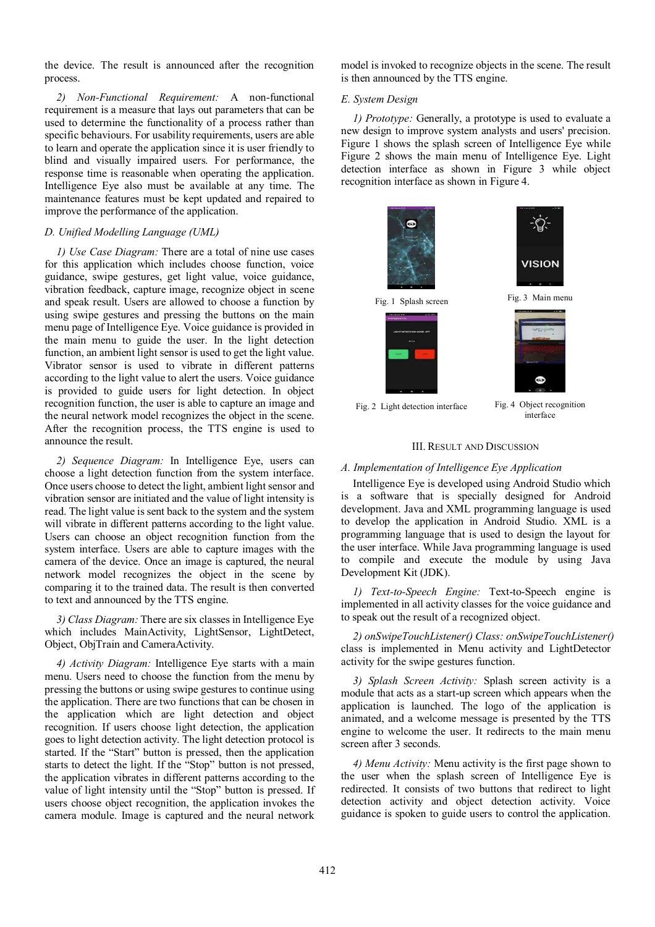the device. The result is announced after the recognition process.

*2) Non-Functional Requirement:* A non-functional requirement is a measure that lays out parameters that can be used to determine the functionality of a process rather than specific behaviours. For usability requirements, users are able to learn and operate the application since it is user friendly to blind and visually impaired users. For performance, the response time is reasonable when operating the application. Intelligence Eye also must be available at any time. The maintenance features must be kept updated and repaired to improve the performance of the application.

## *D. Unified Modelling Language (UML)*

*1) Use Case Diagram:* There are a total of nine use cases for this application which includes choose function, voice guidance, swipe gestures, get light value, voice guidance, vibration feedback, capture image, recognize object in scene and speak result. Users are allowed to choose a function by using swipe gestures and pressing the buttons on the main menu page of Intelligence Eye. Voice guidance is provided in the main menu to guide the user. In the light detection function, an ambient light sensor is used to get the light value. Vibrator sensor is used to vibrate in different patterns according to the light value to alert the users. Voice guidance is provided to guide users for light detection. In object recognition function, the user is able to capture an image and the neural network model recognizes the object in the scene. After the recognition process, the TTS engine is used to announce the result.

*2) Sequence Diagram:* In Intelligence Eye, users can choose a light detection function from the system interface. Once users choose to detect the light, ambient light sensor and vibration sensor are initiated and the value of light intensity is read. The light value is sent back to the system and the system will vibrate in different patterns according to the light value. Users can choose an object recognition function from the system interface. Users are able to capture images with the camera of the device. Once an image is captured, the neural network model recognizes the object in the scene by comparing it to the trained data. The result is then converted to text and announced by the TTS engine.

*3) Class Diagram:* There are six classes in Intelligence Eye which includes MainActivity, LightSensor, LightDetect, Object, ObjTrain and CameraActivity.

*4) Activity Diagram:* Intelligence Eye starts with a main menu. Users need to choose the function from the menu by pressing the buttons or using swipe gestures to continue using the application. There are two functions that can be chosen in the application which are light detection and object recognition. If users choose light detection, the application goes to light detection activity. The light detection protocol is started. If the "Start" button is pressed, then the application starts to detect the light. If the "Stop" button is not pressed, the application vibrates in different patterns according to the value of light intensity until the "Stop" button is pressed. If users choose object recognition, the application invokes the camera module. Image is captured and the neural network model is invoked to recognize objects in the scene. The result is then announced by the TTS engine.

## *E. System Design*

*1) Prototype:* Generally, a prototype is used to evaluate a new design to improve system analysts and users' precision. Figure 1 shows the splash screen of Intelligence Eye while Figure 2 shows the main menu of Intelligence Eye. Light detection interface as shown in Figure 3 while object recognition interface as shown in Figure 4.



### III. RESULT AND DISCUSSION

## *A. Implementation of Intelligence Eye Application*

Intelligence Eye is developed using Android Studio which is a software that is specially designed for Android development. Java and XML programming language is used to develop the application in Android Studio. XML is a programming language that is used to design the layout for the user interface. While Java programming language is used to compile and execute the module by using Java Development Kit (JDK).

*1) Text-to-Speech Engine:* Text-to-Speech engine is implemented in all activity classes for the voice guidance and to speak out the result of a recognized object.

*2) onSwipeTouchListener() Class: onSwipeTouchListener()*  class is implemented in Menu activity and LightDetector activity for the swipe gestures function.

*3) Splash Screen Activity:* Splash screen activity is a module that acts as a start-up screen which appears when the application is launched. The logo of the application is animated, and a welcome message is presented by the TTS engine to welcome the user. It redirects to the main menu screen after 3 seconds.

*4) Menu Activity:* Menu activity is the first page shown to the user when the splash screen of Intelligence Eye is redirected. It consists of two buttons that redirect to light detection activity and object detection activity. Voice guidance is spoken to guide users to control the application.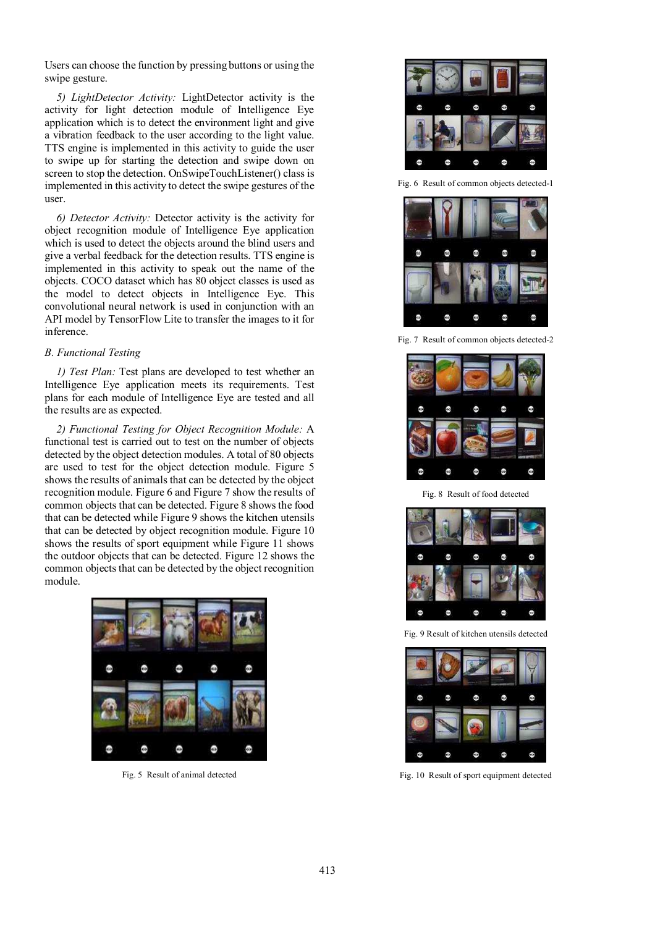Users can choose the function by pressing buttons or using the swipe gesture.

*5) LightDetector Activity:* LightDetector activity is the activity for light detection module of Intelligence Eye application which is to detect the environment light and give a vibration feedback to the user according to the light value. TTS engine is implemented in this activity to guide the user to swipe up for starting the detection and swipe down on screen to stop the detection. OnSwipeTouchListener() class is implemented in this activity to detect the swipe gestures of the user.

*6) Detector Activity:* Detector activity is the activity for object recognition module of Intelligence Eye application which is used to detect the objects around the blind users and give a verbal feedback for the detection results. TTS engine is implemented in this activity to speak out the name of the objects. COCO dataset which has 80 object classes is used as the model to detect objects in Intelligence Eye. This convolutional neural network is used in conjunction with an API model by TensorFlow Lite to transfer the images to it for inference.

## *B. Functional Testing*

*1) Test Plan:* Test plans are developed to test whether an Intelligence Eye application meets its requirements. Test plans for each module of Intelligence Eye are tested and all the results are as expected.

*2) Functional Testing for Object Recognition Module:* A functional test is carried out to test on the number of objects detected by the object detection modules. A total of 80 objects are used to test for the object detection module. Figure 5 shows the results of animals that can be detected by the object recognition module. Figure 6 and Figure 7 show the results of common objects that can be detected. Figure 8 shows the food that can be detected while Figure 9 shows the kitchen utensils that can be detected by object recognition module. Figure 10 shows the results of sport equipment while Figure 11 shows the outdoor objects that can be detected. Figure 12 shows the common objects that can be detected by the object recognition module.



Fig. 5 Result of animal detected



Fig. 6 Result of common objects detected-1



Fig. 7 Result of common objects detected-2



Fig. 8 Result of food detected



Fig. 9 Result of kitchen utensils detected



Fig. 10 Result of sport equipment detected